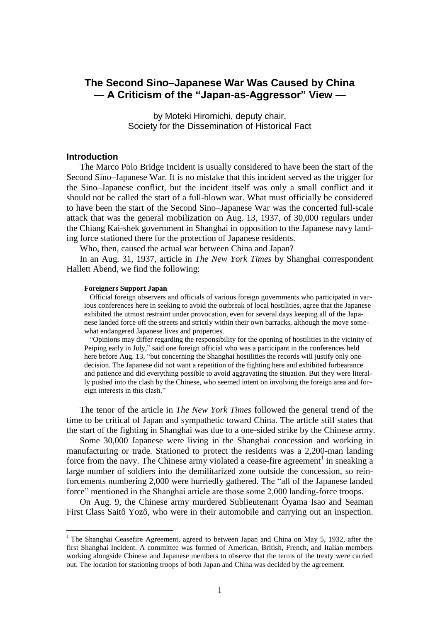# **The Second Sino–Japanese War Was Caused by China**  $-$  **A Criticism of the "Japan-as-Aggressor" View**  $-$

by Moteki Hiromichi, deputy chair, Society for the Dissemination of Historical Fact

## **Introduction**

 $\overline{a}$ 

The Marco Polo Bridge Incident is usually considered to have been the start of the Second Sino–Japanese War. It is no mistake that this incident served as the trigger for the Sino–Japanese conflict, but the incident itself was only a small conflict and it should not be called the start of a full-blown war. What must officially be considered to have been the start of the Second Sino–Japanese War was the concerted full-scale attack that was the general mobilization on Aug. 13, 1937, of 30,000 regulars under the Chiang Kai-shek government in Shanghai in opposition to the Japanese navy landing force stationed there for the protection of Japanese residents.

Who, then, caused the actual war between China and Japan?

In an Aug. 31, 1937, article in *The New York Times* by Shanghai correspondent Hallett Abend, we find the following:

#### **Foreigners Support Japan**

 Official foreign observers and officials of various foreign governments who participated in various conferences here in seeking to avoid the outbreak of local hostilities, agree that the Japanese exhibited the utmost restraint under provocation, even for several days keeping all of the Japanese landed force off the streets and strictly within their own barracks, although the move somewhat endangered Japanese lives and properties.

 ―Opinions may differ regarding the responsibility for the opening of hostilities in the vicinity of Peiping early in July," said one foreign official who was a participant in the conferences held here before Aug. 13, "but concerning the Shanghai hostilities the records will justify only one decision. The Japanese did not want a repetition of the fighting here and exhibited forbearance and patience and did everything possible to avoid aggravating the situation. But they were literally pushed into the clash by the Chinese, who seemed intent on involving the foreign area and foreign interests in this clash."

The tenor of the article in *The New York Times* followed the general trend of the time to be critical of Japan and sympathetic toward China. The article still states that the start of the fighting in Shanghai was due to a one-sided strike by the Chinese army.

Some 30,000 Japanese were living in the Shanghai concession and working in manufacturing or trade. Stationed to protect the residents was a 2,200-man landing force from the navy. The Chinese army violated a cease-fire agreement<sup>1</sup> in sneaking a large number of soldiers into the demilitarized zone outside the concession, so reinforcements numbering 2,000 were hurriedly gathered. The "all of the Japanese landed force" mentioned in the Shanghai article are those some 2,000 landing-force troops.

On Aug. 9, the Chinese army murdered Sublieutenant Ôyama Isao and Seaman First Class Saitô Yozô, who were in their automobile and carrying out an inspection.

<sup>&</sup>lt;sup>1</sup> The Shanghai Ceasefire Agreement, agreed to between Japan and China on May 5, 1932, after the first Shanghai Incident. A committee was formed of American, British, French, and Italian members working alongside Chinese and Japanese members to observe that the terms of the treaty were carried out. The location for stationing troops of both Japan and China was decided by the agreement.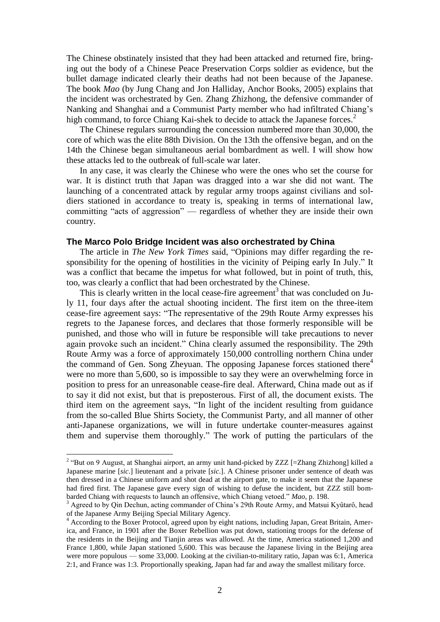The Chinese obstinately insisted that they had been attacked and returned fire, bringing out the body of a Chinese Peace Preservation Corps soldier as evidence, but the bullet damage indicated clearly their deaths had not been because of the Japanese. The book *Mao* (by Jung Chang and Jon Halliday, Anchor Books, 2005) explains that the incident was orchestrated by Gen. Zhang Zhizhong, the defensive commander of Nanking and Shanghai and a Communist Party member who had infiltrated Chiang's high command, to force Chiang Kai-shek to decide to attack the Japanese forces.<sup>2</sup>

The Chinese regulars surrounding the concession numbered more than 30,000, the core of which was the elite 88th Division. On the 13th the offensive began, and on the 14th the Chinese began simultaneous aerial bombardment as well. I will show how these attacks led to the outbreak of full-scale war later.

In any case, it was clearly the Chinese who were the ones who set the course for war. It is distinct truth that Japan was dragged into a war she did not want. The launching of a concentrated attack by regular army troops against civilians and soldiers stationed in accordance to treaty is, speaking in terms of international law, committing "acts of aggression" — regardless of whether they are inside their own country.

## **The Marco Polo Bridge Incident was also orchestrated by China**

The article in *The New York Times* said, "Opinions may differ regarding the responsibility for the opening of hostilities in the vicinity of Peiping early In July." It was a conflict that became the impetus for what followed, but in point of truth, this, too, was clearly a conflict that had been orchestrated by the Chinese.

This is clearly written in the local cease-fire agreement<sup>3</sup> that was concluded on July 11, four days after the actual shooting incident. The first item on the three-item cease-fire agreement says: "The representative of the 29th Route Army expresses his regrets to the Japanese forces, and declares that those formerly responsible will be punished, and those who will in future be responsible will take precautions to never again provoke such an incident." China clearly assumed the responsibility. The 29th Route Army was a force of approximately 150,000 controlling northern China under the command of Gen. Song Zheyuan. The opposing Japanese forces stationed there<sup>4</sup> were no more than 5,600, so is impossible to say they were an overwhelming force in position to press for an unreasonable cease-fire deal. Afterward, China made out as if to say it did not exist, but that is preposterous. First of all, the document exists. The third item on the agreement says, "In light of the incident resulting from guidance from the so-called Blue Shirts Society, the Communist Party, and all manner of other anti-Japanese organizations, we will in future undertake counter-measures against them and supervise them thoroughly." The work of putting the particulars of the

<sup>&</sup>lt;sup>2</sup> "But on 9 August, at Shanghai airport, an army unit hand-picked by ZZZ [=Zhang Zhizhong] killed a Japanese marine [*sic*.] lieutenant and a private [*sic*.]. A Chinese prisoner under sentence of death was then dressed in a Chinese uniform and shot dead at the airport gate, to make it seem that the Japanese had fired first. The Japanese gave every sign of wishing to defuse the incident, but ZZZ still bombarded Chiang with requests to launch an offensive, which Chiang vetoed." Mao, p. 198.

<sup>&</sup>lt;sup>3</sup> Agreed to by Qin Dechun, acting commander of China's 29th Route Army, and Matsui Kyûtarô, head of the Japanese Army Beijing Special Military Agency.

<sup>4</sup> According to the Boxer Protocol, agreed upon by eight nations, including Japan, Great Britain, America, and France, in 1901 after the Boxer Rebellion was put down, stationing troops for the defense of the residents in the Beijing and Tianjin areas was allowed. At the time, America stationed 1,200 and France 1,800, while Japan stationed 5,600. This was because the Japanese living in the Beijing area were more populous — some 33,000. Looking at the civilian-to-military ratio, Japan was 6:1, America 2:1, and France was 1:3. Proportionally speaking, Japan had far and away the smallest military force.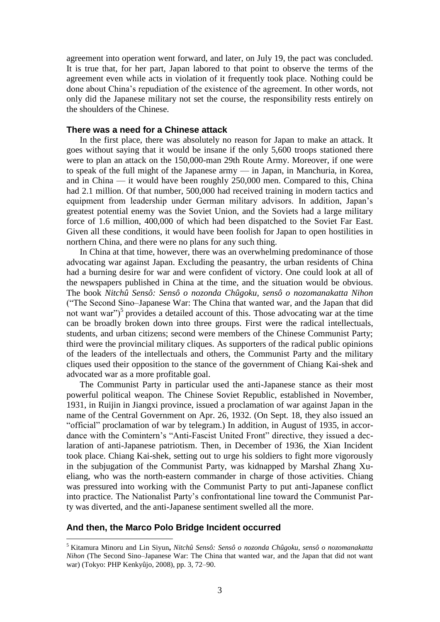agreement into operation went forward, and later, on July 19, the pact was concluded. It is true that, for her part, Japan labored to that point to observe the terms of the agreement even while acts in violation of it frequently took place. Nothing could be done about China's repudiation of the existence of the agreement. In other words, not only did the Japanese military not set the course, the responsibility rests entirely on the shoulders of the Chinese.

## **There was a need for a Chinese attack**

In the first place, there was absolutely no reason for Japan to make an attack. It goes without saying that it would be insane if the only 5,600 troops stationed there were to plan an attack on the 150,000-man 29th Route Army. Moreover, if one were to speak of the full might of the Japanese army — in Japan, in Manchuria, in Korea, and in China — it would have been roughly 250,000 men. Compared to this, China had 2.1 million. Of that number, 500,000 had received training in modern tactics and equipment from leadership under German military advisors. In addition, Japan's greatest potential enemy was the Soviet Union, and the Soviets had a large military force of 1.6 million, 400,000 of which had been dispatched to the Soviet Far East. Given all these conditions, it would have been foolish for Japan to open hostilities in northern China, and there were no plans for any such thing.

In China at that time, however, there was an overwhelming predominance of those advocating war against Japan. Excluding the peasantry, the urban residents of China had a burning desire for war and were confident of victory. One could look at all of the newspapers published in China at the time, and the situation would be obvious. The book *Nitchû Sensô: Sensô o nozonda Chûgoku, sensô o nozomanakatta Nihon* (―The Second Sino–Japanese War: The China that wanted war, and the Japan that did not want war")<sup>5</sup> provides a detailed account of this. Those advocating war at the time can be broadly broken down into three groups. First were the radical intellectuals, students, and urban citizens; second were members of the Chinese Communist Party; third were the provincial military cliques. As supporters of the radical public opinions of the leaders of the intellectuals and others, the Communist Party and the military cliques used their opposition to the stance of the government of Chiang Kai-shek and advocated war as a more profitable goal.

The Communist Party in particular used the anti-Japanese stance as their most powerful political weapon. The Chinese Soviet Republic, established in November, 1931, in Ruijin in Jiangxi province, issued a proclamation of war against Japan in the name of the Central Government on Apr. 26, 1932. (On Sept. 18, they also issued an "official" proclamation of war by telegram.) In addition, in August of 1935, in accordance with the Comintern's "Anti-Fascist United Front" directive, they issued a declaration of anti-Japanese patriotism. Then, in December of 1936, the Xian Incident took place. Chiang Kai-shek, setting out to urge his soldiers to fight more vigorously in the subjugation of the Communist Party, was kidnapped by Marshal Zhang Xueliang, who was the north-eastern commander in charge of those activities. Chiang was pressured into working with the Communist Party to put anti-Japanese conflict into practice. The Nationalist Party's confrontational line toward the Communist Party was diverted, and the anti-Japanese sentiment swelled all the more.

#### **And then, the Marco Polo Bridge Incident occurred**

<sup>5</sup> Kitamura Minoru and Lin Siyun**,** *Nitchû Sensô: Sensô o nozonda Chûgoku, sensô o nozomanakatta Nihon* (The Second Sino–Japanese War: The China that wanted war, and the Japan that did not want war) (Tokyo: PHP Kenkyûjo, 2008), pp. 3, 72–90.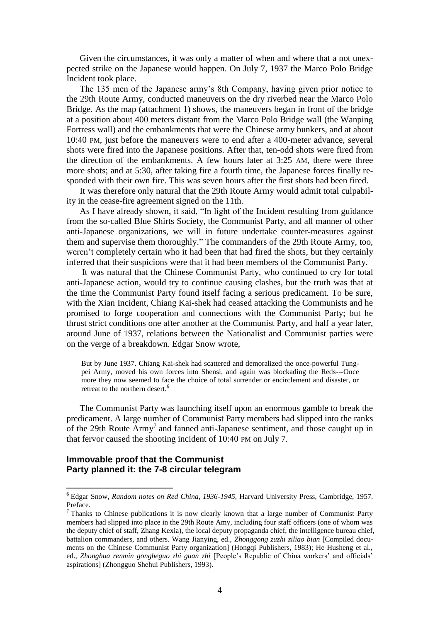Given the circumstances, it was only a matter of when and where that a not unexpected strike on the Japanese would happen. On July 7, 1937 the Marco Polo Bridge Incident took place.

The 135 men of the Japanese army's 8th Company, having given prior notice to the 29th Route Army, conducted maneuvers on the dry riverbed near the Marco Polo Bridge. As the map (attachment 1) shows, the maneuvers began in front of the bridge at a position about 400 meters distant from the Marco Polo Bridge wall (the Wanping Fortress wall) and the embankments that were the Chinese army bunkers, and at about 10:40 PM, just before the maneuvers were to end after a 400-meter advance, several shots were fired into the Japanese positions. After that, ten-odd shots were fired from the direction of the embankments. A few hours later at 3:25 AM, there were three more shots; and at 5:30, after taking fire a fourth time, the Japanese forces finally responded with their own fire. This was seven hours after the first shots had been fired.

It was therefore only natural that the 29th Route Army would admit total culpability in the cease-fire agreement signed on the 11th.

As I have already shown, it said, "In light of the Incident resulting from guidance from the so-called Blue Shirts Society, the Communist Party, and all manner of other anti-Japanese organizations, we will in future undertake counter-measures against them and supervise them thoroughly." The commanders of the 29th Route Army, too, weren't completely certain who it had been that had fired the shots, but they certainly inferred that their suspicions were that it had been members of the Communist Party.

It was natural that the Chinese Communist Party, who continued to cry for total anti-Japanese action, would try to continue causing clashes, but the truth was that at the time the Communist Party found itself facing a serious predicament. To be sure, with the Xian Incident, Chiang Kai-shek had ceased attacking the Communists and he promised to forge cooperation and connections with the Communist Party; but he thrust strict conditions one after another at the Communist Party, and half a year later, around June of 1937, relations between the Nationalist and Communist parties were on the verge of a breakdown. Edgar Snow wrote,

But by June 1937. Chiang Kai-shek had scattered and demoralized the once-powerful Tungpei Army, moved his own forces into Shensi, and again was blockading the Reds---Once more they now seemed to face the choice of total surrender or encirclement and disaster, or retreat to the northern desert.<sup>6</sup>

The Communist Party was launching itself upon an enormous gamble to break the predicament. A large number of Communist Party members had slipped into the ranks of the 29th Route  $\text{Army}^7$  and fanned anti-Japanese sentiment, and those caught up in that fervor caused the shooting incident of 10:40 PM on July 7.

## **Immovable proof that the Communist Party planned it: the 7-8 circular telegram**

**<sup>6</sup>** Edgar Snow, *Random notes on Red China, 1936-1945,* Harvard University Press, Cambridge, 1957. Preface.

<sup>7</sup> Thanks to Chinese publications it is now clearly known that a large number of Communist Party members had slipped into place in the 29th Route Amy, including four staff officers (one of whom was the deputy chief of staff, Zhang Kexia), the local deputy propaganda chief, the intelligence bureau chief, battalion commanders, and others. Wang Jianying, ed., *Zhonggong zuzhi ziliao bian* [Compiled documents on the Chinese Communist Party organization] (Hongqi Publishers, 1983); He Husheng et al., ed., *Zhonghua renmin gongheguo zhi guan zhi* [People's Republic of China workers' and officials' aspirations] (Zhongguo Shehui Publishers, 1993).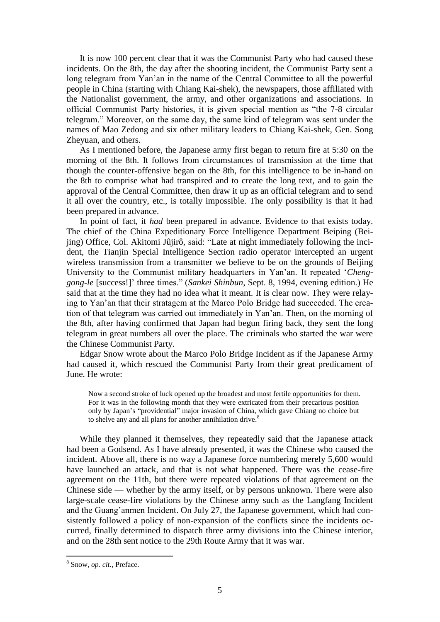It is now 100 percent clear that it was the Communist Party who had caused these incidents. On the 8th, the day after the shooting incident, the Communist Party sent a long telegram from Yan'an in the name of the Central Committee to all the powerful people in China (starting with Chiang Kai-shek), the newspapers, those affiliated with the Nationalist government, the army, and other organizations and associations. In official Communist Party histories, it is given special mention as "the 7-8 circular telegram.‖ Moreover, on the same day, the same kind of telegram was sent under the names of Mao Zedong and six other military leaders to Chiang Kai-shek, Gen. Song Zheyuan, and others.

As I mentioned before, the Japanese army first began to return fire at 5:30 on the morning of the 8th. It follows from circumstances of transmission at the time that though the counter-offensive began on the 8th, for this intelligence to be in-hand on the 8th to comprise what had transpired and to create the long text, and to gain the approval of the Central Committee, then draw it up as an official telegram and to send it all over the country, etc., is totally impossible. The only possibility is that it had been prepared in advance.

In point of fact, it *had* been prepared in advance. Evidence to that exists today. The chief of the China Expeditionary Force Intelligence Department Beiping (Beijing) Office, Col. Akitomi Jûjirô, said: "Late at night immediately following the incident, the Tianjin Special Intelligence Section radio operator intercepted an urgent wireless transmission from a transmitter we believe to be on the grounds of Beijing University to the Communist military headquarters in Yan'an. It repeated ‗*Chenggong-le* [success!]' three times.‖ (*Sankei Shinbun*, Sept. 8, 1994, evening edition.) He said that at the time they had no idea what it meant. It is clear now. They were relaying to Yan'an that their stratagem at the Marco Polo Bridge had succeeded. The creation of that telegram was carried out immediately in Yan'an. Then, on the morning of the 8th, after having confirmed that Japan had begun firing back, they sent the long telegram in great numbers all over the place. The criminals who started the war were the Chinese Communist Party.

Edgar Snow wrote about the Marco Polo Bridge Incident as if the Japanese Army had caused it, which rescued the Communist Party from their great predicament of June. He wrote:

Now a second stroke of luck opened up the broadest and most fertile opportunities for them. For it was in the following month that they were extricated from their precarious position only by Japan's "providential" major invasion of China, which gave Chiang no choice but to shelve any and all plans for another annihilation drive.<sup>8</sup>

While they planned it themselves, they repeatedly said that the Japanese attack had been a Godsend. As I have already presented, it was the Chinese who caused the incident. Above all, there is no way a Japanese force numbering merely 5,600 would have launched an attack, and that is not what happened. There was the cease-fire agreement on the 11th, but there were repeated violations of that agreement on the Chinese side — whether by the army itself, or by persons unknown. There were also large-scale cease-fire violations by the Chinese army such as the Langfang Incident and the Guang'anmen Incident. On July 27, the Japanese government, which had consistently followed a policy of non-expansion of the conflicts since the incidents occurred, finally determined to dispatch three army divisions into the Chinese interior, and on the 28th sent notice to the 29th Route Army that it was war.

<sup>8</sup> Snow, *op. cit*., Preface.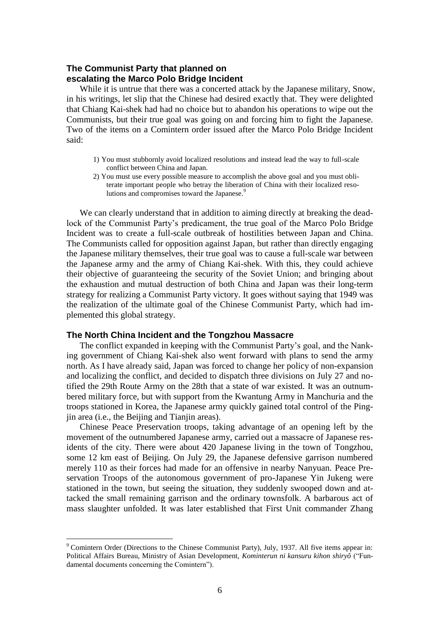# **The Communist Party that planned on escalating the Marco Polo Bridge Incident**

While it is untrue that there was a concerted attack by the Japanese military, Snow, in his writings, let slip that the Chinese had desired exactly that. They were delighted that Chiang Kai-shek had had no choice but to abandon his operations to wipe out the Communists, but their true goal was going on and forcing him to fight the Japanese. Two of the items on a Comintern order issued after the Marco Polo Bridge Incident said:

- 1) You must stubbornly avoid localized resolutions and instead lead the way to full-scale conflict between China and Japan.
- 2) You must use every possible measure to accomplish the above goal and you must obliterate important people who betray the liberation of China with their localized resolutions and compromises toward the Japanese.<sup>9</sup>

We can clearly understand that in addition to aiming directly at breaking the deadlock of the Communist Party's predicament, the true goal of the Marco Polo Bridge Incident was to create a full-scale outbreak of hostilities between Japan and China. The Communists called for opposition against Japan, but rather than directly engaging the Japanese military themselves, their true goal was to cause a full-scale war between the Japanese army and the army of Chiang Kai-shek. With this, they could achieve their objective of guaranteeing the security of the Soviet Union; and bringing about the exhaustion and mutual destruction of both China and Japan was their long-term strategy for realizing a Communist Party victory. It goes without saying that 1949 was the realization of the ultimate goal of the Chinese Communist Party, which had implemented this global strategy.

## **The North China Incident and the Tongzhou Massacre**

 $\overline{a}$ 

The conflict expanded in keeping with the Communist Party's goal, and the Nanking government of Chiang Kai-shek also went forward with plans to send the army north. As I have already said, Japan was forced to change her policy of non-expansion and localizing the conflict, and decided to dispatch three divisions on July 27 and notified the 29th Route Army on the 28th that a state of war existed. It was an outnumbered military force, but with support from the Kwantung Army in Manchuria and the troops stationed in Korea, the Japanese army quickly gained total control of the Pingjin area (i.e., the Beijing and Tianjin areas).

Chinese Peace Preservation troops, taking advantage of an opening left by the movement of the outnumbered Japanese army, carried out a massacre of Japanese residents of the city. There were about 420 Japanese living in the town of Tongzhou, some 12 km east of Beijing. On July 29, the Japanese defensive garrison numbered merely 110 as their forces had made for an offensive in nearby Nanyuan. Peace Preservation Troops of the autonomous government of pro-Japanese Yin Jukeng were stationed in the town, but seeing the situation, they suddenly swooped down and attacked the small remaining garrison and the ordinary townsfolk. A barbarous act of mass slaughter unfolded. It was later established that First Unit commander Zhang

<sup>9</sup> Comintern Order (Directions to the Chinese Communist Party), July, 1937. All five items appear in: Political Affairs Bureau, Ministry of Asian Development, *Kominterun ni kansuru kihon shiryô* ("Fundamental documents concerning the Comintern").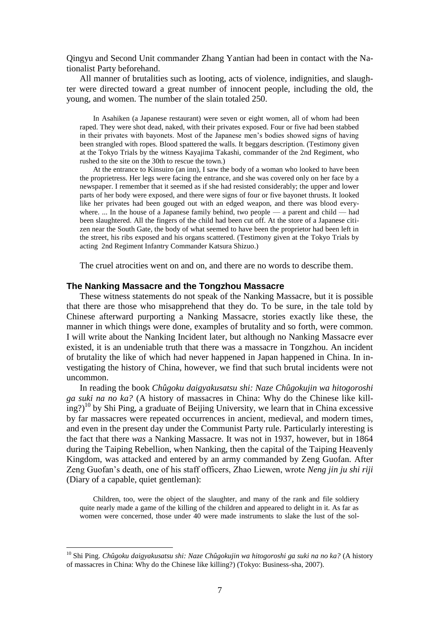Qingyu and Second Unit commander Zhang Yantian had been in contact with the Nationalist Party beforehand.

All manner of brutalities such as looting, acts of violence, indignities, and slaughter were directed toward a great number of innocent people, including the old, the young, and women. The number of the slain totaled 250.

In Asahiken (a Japanese restaurant) were seven or eight women, all of whom had been raped. They were shot dead, naked, with their privates exposed. Four or five had been stabbed in their privates with bayonets. Most of the Japanese men's bodies showed signs of having been strangled with ropes. Blood spattered the walls. It beggars description. (Testimony given at the Tokyo Trials by the witness Kayajima Takashi, commander of the 2nd Regiment, who rushed to the site on the 30th to rescue the town.)

At the entrance to Kinsuiro (an inn), I saw the body of a woman who looked to have been the proprietress. Her legs were facing the entrance, and she was covered only on her face by a newspaper. I remember that it seemed as if she had resisted considerably; the upper and lower parts of her body were exposed, and there were signs of four or five bayonet thrusts. It looked like her privates had been gouged out with an edged weapon, and there was blood everywhere. ... In the house of a Japanese family behind, two people — a parent and child — had been slaughtered. All the fingers of the child had been cut off. At the store of a Japanese citizen near the South Gate, the body of what seemed to have been the proprietor had been left in the street, his ribs exposed and his organs scattered. (Testimony given at the Tokyo Trials by acting 2nd Regiment Infantry Commander Katsura Shizuo.)

The cruel atrocities went on and on, and there are no words to describe them.

#### **The Nanking Massacre and the Tongzhou Massacre**

These witness statements do not speak of the Nanking Massacre, but it is possible that there are those who misapprehend that they do. To be sure, in the tale told by Chinese afterward purporting a Nanking Massacre, stories exactly like these, the manner in which things were done, examples of brutality and so forth, were common. I will write about the Nanking Incident later, but although no Nanking Massacre ever existed, it is an undeniable truth that there was a massacre in Tongzhou. An incident of brutality the like of which had never happened in Japan happened in China. In investigating the history of China, however, we find that such brutal incidents were not uncommon.

In reading the book *Chûgoku daigyakusatsu shi: Naze Chûgokujin wa hitogoroshi ga suki na no ka?* (A history of massacres in China: Why do the Chinese like kill- $(\text{img})^{10}$  by Shi Ping, a graduate of Beijing University, we learn that in China excessive by far massacres were repeated occurrences in ancient, medieval, and modern times, and even in the present day under the Communist Party rule. Particularly interesting is the fact that there *was* a Nanking Massacre. It was not in 1937, however, but in 1864 during the Taiping Rebellion, when Nanking, then the capital of the Taiping Heavenly Kingdom, was attacked and entered by an army commanded by Zeng Guofan. After Zeng Guofan's death, one of his staff officers, Zhao Liewen, wrote *Neng jin ju shi riji* (Diary of a capable, quiet gentleman):

Children, too, were the object of the slaughter, and many of the rank and file soldiery quite nearly made a game of the killing of the children and appeared to delight in it. As far as women were concerned, those under 40 were made instruments to slake the lust of the sol-

<sup>10</sup> Shi Ping. *Chûgoku daigyakusatsu shi: Naze Chûgokujin wa hitogoroshi ga suki na no ka?* (A history of massacres in China: Why do the Chinese like killing?) (Tokyo: Business-sha, 2007).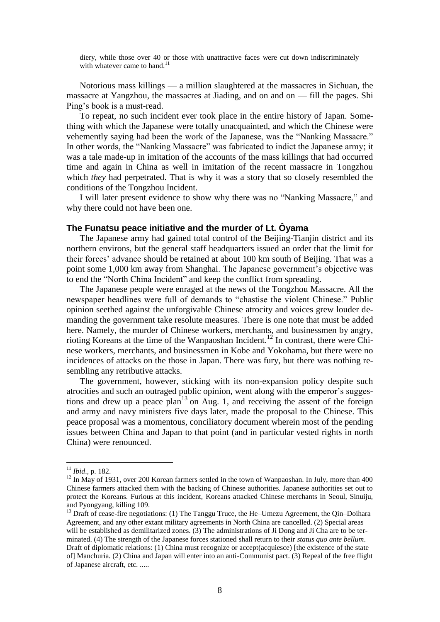diery, while those over 40 or those with unattractive faces were cut down indiscriminately with whatever came to hand.<sup>11</sup>

Notorious mass killings — a million slaughtered at the massacres in Sichuan, the massacre at Yangzhou, the massacres at Jiading, and on and on — fill the pages. Shi Ping's book is a must-read.

To repeat, no such incident ever took place in the entire history of Japan. Something with which the Japanese were totally unacquainted, and which the Chinese were vehemently saying had been the work of the Japanese, was the "Nanking Massacre." In other words, the "Nanking Massacre" was fabricated to indict the Japanese army; it was a tale made-up in imitation of the accounts of the mass killings that had occurred time and again in China as well in imitation of the recent massacre in Tongzhou which *they* had perpetrated. That is why it was a story that so closely resembled the conditions of the Tongzhou Incident.

I will later present evidence to show why there was no "Nanking Massacre," and why there could not have been one.

#### **The Funatsu peace initiative and the murder of Lt. Ôyama**

The Japanese army had gained total control of the Beijing-Tianjin district and its northern environs, but the general staff headquarters issued an order that the limit for their forces' advance should be retained at about 100 km south of Beijing. That was a point some 1,000 km away from Shanghai. The Japanese government's objective was to end the "North China Incident" and keep the conflict from spreading.

The Japanese people were enraged at the news of the Tongzhou Massacre. All the newspaper headlines were full of demands to "chastise the violent Chinese." Public opinion seethed against the unforgivable Chinese atrocity and voices grew louder demanding the government take resolute measures. There is one note that must be added here. Namely, the murder of Chinese workers, merchants, and businessmen by angry, rioting Koreans at the time of the Wanpaoshan Incident.<sup>12</sup> In contrast, there were Chinese workers, merchants, and businessmen in Kobe and Yokohama, but there were no incidences of attacks on the those in Japan. There was fury, but there was nothing resembling any retributive attacks.

The government, however, sticking with its non-expansion policy despite such atrocities and such an outraged public opinion, went along with the emperor's suggestions and drew up a peace plan<sup>13</sup> on Aug. 1, and receiving the assent of the foreign and army and navy ministers five days later, made the proposal to the Chinese. This peace proposal was a momentous, conciliatory document wherein most of the pending issues between China and Japan to that point (and in particular vested rights in north China) were renounced.

<sup>11</sup> *Ibid*., p. 182.

<sup>&</sup>lt;sup>12</sup> In May of 1931, over 200 Korean farmers settled in the town of Wanpaoshan. In July, more than 400 Chinese farmers attacked them with the backing of Chinese authorities. Japanese authorities set out to protect the Koreans. Furious at this incident, Koreans attacked Chinese merchants in Seoul, Sinuiju, and Pyongyang, killing 109.

<sup>&</sup>lt;sup>13</sup> Draft of cease-fire negotiations: (1) The Tanggu Truce, the He–Umezu Agreement, the Qin–Doihara Agreement, and any other extant military agreements in North China are cancelled. (2) Special areas will be established as demilitarized zones. (3) The administrations of Ji Dong and Ji Cha are to be terminated. (4) The strength of the Japanese forces stationed shall return to their *status quo ante bellum*. Draft of diplomatic relations: (1) China must recognize or accept(acquiesce) [the existence of the state of] Manchuria. (2) China and Japan will enter into an anti-Communist pact. (3) Repeal of the free flight of Japanese aircraft, etc. .....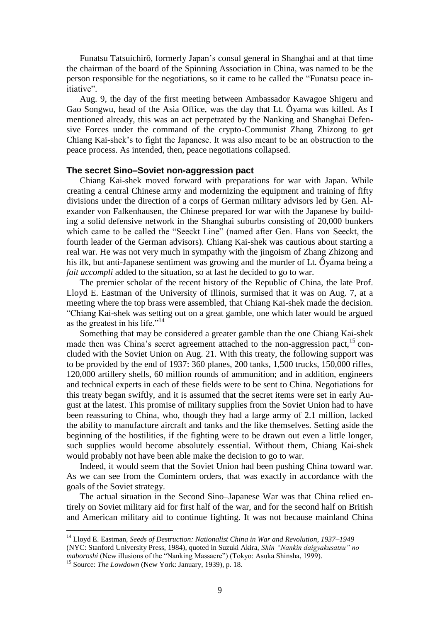Funatsu Tatsuichirô, formerly Japan's consul general in Shanghai and at that time the chairman of the board of the Spinning Association in China, was named to be the person responsible for the negotiations, so it came to be called the "Funatsu peace initiative".

Aug. 9, the day of the first meeting between Ambassador Kawagoe Shigeru and Gao Songwu, head of the Asia Office, was the day that Lt. Ôyama was killed. As I mentioned already, this was an act perpetrated by the Nanking and Shanghai Defensive Forces under the command of the crypto-Communist Zhang Zhizong to get Chiang Kai-shek's to fight the Japanese. It was also meant to be an obstruction to the peace process. As intended, then, peace negotiations collapsed.

#### **The secret Sino–Soviet non-aggression pact**

Chiang Kai-shek moved forward with preparations for war with Japan. While creating a central Chinese army and modernizing the equipment and training of fifty divisions under the direction of a corps of German military advisors led by Gen. Alexander von Falkenhausen, the Chinese prepared for war with the Japanese by building a solid defensive network in the Shanghai suburbs consisting of 20,000 bunkers which came to be called the "Seeckt Line" (named after Gen. Hans von Seeckt, the fourth leader of the German advisors). Chiang Kai-shek was cautious about starting a real war. He was not very much in sympathy with the jingoism of Zhang Zhizong and his ilk, but anti-Japanese sentiment was growing and the murder of Lt. Ôyama being a *fait accompli* added to the situation, so at last he decided to go to war.

The premier scholar of the recent history of the Republic of China, the late Prof. Lloyd E. Eastman of the University of Illinois, surmised that it was on Aug. 7, at a meeting where the top brass were assembled, that Chiang Kai-shek made the decision. ―Chiang Kai-shek was setting out on a great gamble, one which later would be argued as the greatest in his life." $14$ 

Something that may be considered a greater gamble than the one Chiang Kai-shek made then was China's secret agreement attached to the non-aggression pact,  $15$  concluded with the Soviet Union on Aug. 21. With this treaty, the following support was to be provided by the end of 1937: 360 planes, 200 tanks, 1,500 trucks, 150,000 rifles, 120,000 artillery shells, 60 million rounds of ammunition; and in addition, engineers and technical experts in each of these fields were to be sent to China. Negotiations for this treaty began swiftly, and it is assumed that the secret items were set in early August at the latest. This promise of military supplies from the Soviet Union had to have been reassuring to China, who, though they had a large army of 2.1 million, lacked the ability to manufacture aircraft and tanks and the like themselves. Setting aside the beginning of the hostilities, if the fighting were to be drawn out even a little longer, such supplies would become absolutely essential. Without them, Chiang Kai-shek would probably not have been able make the decision to go to war.

Indeed, it would seem that the Soviet Union had been pushing China toward war. As we can see from the Comintern orders, that was exactly in accordance with the goals of the Soviet strategy.

The actual situation in the Second Sino–Japanese War was that China relied entirely on Soviet military aid for first half of the war, and for the second half on British and American military aid to continue fighting. It was not because mainland China

<sup>14</sup> Lloyd E. Eastman, *Seeds of Destruction: Nationalist China in War and Revolution, 1937–1949* (NYC: Stanford University Press, 1984), quoted in Suzuki Akira, *Shin "Nankin daigyakusatsu" no maboroshi* (New illusions of the "Nanking Massacre") (Tokyo: Asuka Shinsha, 1999).

<sup>15</sup> Source: *The Lowdown* (New York: January, 1939), p. 18.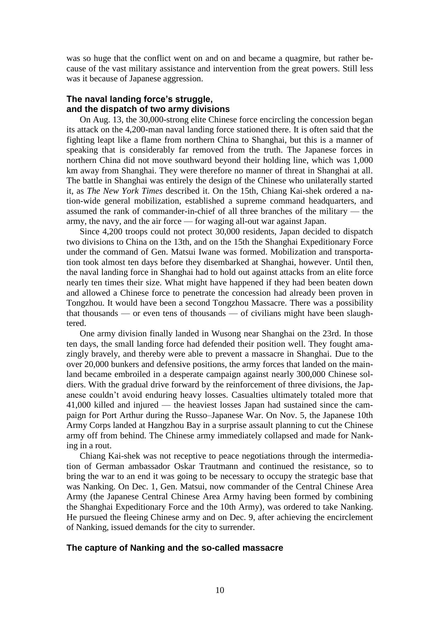was so huge that the conflict went on and on and became a quagmire, but rather because of the vast military assistance and intervention from the great powers. Still less was it because of Japanese aggression.

## **The naval landing force's struggle, and the dispatch of two army divisions**

On Aug. 13, the 30,000-strong elite Chinese force encircling the concession began its attack on the 4,200-man naval landing force stationed there. It is often said that the fighting leapt like a flame from northern China to Shanghai, but this is a manner of speaking that is considerably far removed from the truth. The Japanese forces in northern China did not move southward beyond their holding line, which was 1,000 km away from Shanghai. They were therefore no manner of threat in Shanghai at all. The battle in Shanghai was entirely the design of the Chinese who unilaterally started it, as *The New York Times* described it. On the 15th, Chiang Kai-shek ordered a nation-wide general mobilization, established a supreme command headquarters, and assumed the rank of commander-in-chief of all three branches of the military — the army, the navy, and the air force — for waging all-out war against Japan.

Since 4,200 troops could not protect 30,000 residents, Japan decided to dispatch two divisions to China on the 13th, and on the 15th the Shanghai Expeditionary Force under the command of Gen. Matsui Iwane was formed. Mobilization and transportation took almost ten days before they disembarked at Shanghai, however. Until then, the naval landing force in Shanghai had to hold out against attacks from an elite force nearly ten times their size. What might have happened if they had been beaten down and allowed a Chinese force to penetrate the concession had already been proven in Tongzhou. It would have been a second Tongzhou Massacre. There was a possibility that thousands — or even tens of thousands — of civilians might have been slaughtered.

One army division finally landed in Wusong near Shanghai on the 23rd. In those ten days, the small landing force had defended their position well. They fought amazingly bravely, and thereby were able to prevent a massacre in Shanghai. Due to the over 20,000 bunkers and defensive positions, the army forces that landed on the mainland became embroiled in a desperate campaign against nearly 300,000 Chinese soldiers. With the gradual drive forward by the reinforcement of three divisions, the Japanese couldn't avoid enduring heavy losses. Casualties ultimately totaled more that 41,000 killed and injured — the heaviest losses Japan had sustained since the campaign for Port Arthur during the Russo–Japanese War. On Nov. 5, the Japanese 10th Army Corps landed at Hangzhou Bay in a surprise assault planning to cut the Chinese army off from behind. The Chinese army immediately collapsed and made for Nanking in a rout.

Chiang Kai-shek was not receptive to peace negotiations through the intermediation of German ambassador Oskar Trautmann and continued the resistance, so to bring the war to an end it was going to be necessary to occupy the strategic base that was Nanking. On Dec. 1, Gen. Matsui, now commander of the Central Chinese Area Army (the Japanese Central Chinese Area Army having been formed by combining the Shanghai Expeditionary Force and the 10th Army), was ordered to take Nanking. He pursued the fleeing Chinese army and on Dec. 9, after achieving the encirclement of Nanking, issued demands for the city to surrender.

## **The capture of Nanking and the so-called massacre**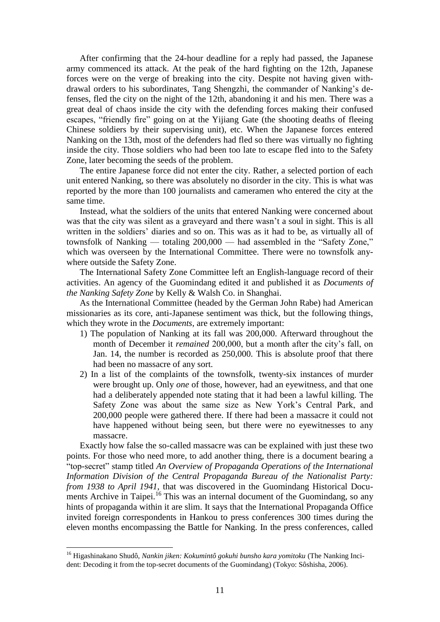After confirming that the 24-hour deadline for a reply had passed, the Japanese army commenced its attack. At the peak of the hard fighting on the 12th, Japanese forces were on the verge of breaking into the city. Despite not having given withdrawal orders to his subordinates, Tang Shengzhi, the commander of Nanking's defenses, fled the city on the night of the 12th, abandoning it and his men. There was a great deal of chaos inside the city with the defending forces making their confused escapes, "friendly fire" going on at the Yijiang Gate (the shooting deaths of fleeing Chinese soldiers by their supervising unit), etc. When the Japanese forces entered Nanking on the 13th, most of the defenders had fled so there was virtually no fighting inside the city. Those soldiers who had been too late to escape fled into to the Safety Zone, later becoming the seeds of the problem.

The entire Japanese force did not enter the city. Rather, a selected portion of each unit entered Nanking, so there was absolutely no disorder in the city. This is what was reported by the more than 100 journalists and cameramen who entered the city at the same time.

Instead, what the soldiers of the units that entered Nanking were concerned about was that the city was silent as a graveyard and there wasn't a soul in sight. This is all written in the soldiers' diaries and so on. This was as it had to be, as virtually all of townsfolk of Nanking — totaling  $200,000$  — had assembled in the "Safety Zone," which was overseen by the International Committee. There were no townsfolk anywhere outside the Safety Zone.

The International Safety Zone Committee left an English-language record of their activities. An agency of the Guomindang edited it and published it as *Documents of the Nanking Safety Zone* by Kelly & Walsh Co. in Shanghai.

As the International Committee (headed by the German John Rabe) had American missionaries as its core, anti-Japanese sentiment was thick, but the following things, which they wrote in the *Documents*, are extremely important:

- 1) The population of Nanking at its fall was 200,000. Afterward throughout the month of December it *remained* 200,000, but a month after the city's fall, on Jan. 14, the number is recorded as 250,000. This is absolute proof that there had been no massacre of any sort.
- 2) In a list of the complaints of the townsfolk, twenty-six instances of murder were brought up. Only *one* of those, however, had an eyewitness, and that one had a deliberately appended note stating that it had been a lawful killing. The Safety Zone was about the same size as New York's Central Park, and 200,000 people were gathered there. If there had been a massacre it could not have happened without being seen, but there were no eyewitnesses to any massacre.

Exactly how false the so-called massacre was can be explained with just these two points. For those who need more, to add another thing, there is a document bearing a ―top-secret‖ stamp titled *An Overview of Propaganda Operations of the International Information Division of the Central Propaganda Bureau of the Nationalist Party: from 1938 to April 1941*, that was discovered in the Guomindang Historical Documents Archive in Taipei.<sup>16</sup> This was an internal document of the Guomindang, so any hints of propaganda within it are slim. It says that the International Propaganda Office invited foreign correspondents in Hankou to press conferences 300 times during the eleven months encompassing the Battle for Nanking. In the press conferences, called

<sup>16</sup> Higashinakano Shudô, *Nankin jiken: Kokumintô gokuhi bunsho kara yomitoku* (The Nanking Incident: Decoding it from the top-secret documents of the Guomindang) (Tokyo: Sôshisha, 2006).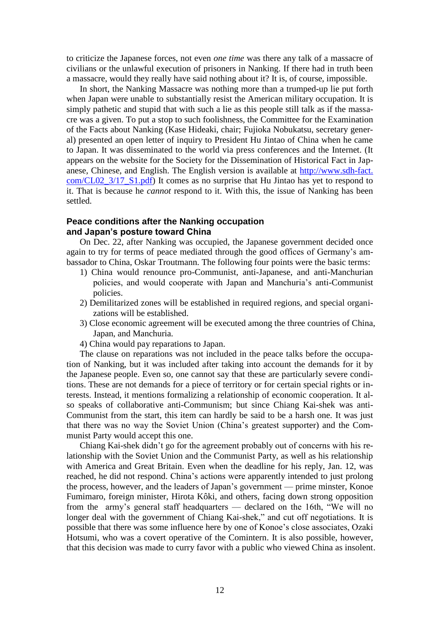to criticize the Japanese forces, not even *one time* was there any talk of a massacre of civilians or the unlawful execution of prisoners in Nanking. If there had in truth been a massacre, would they really have said nothing about it? It is, of course, impossible.

In short, the Nanking Massacre was nothing more than a trumped-up lie put forth when Japan were unable to substantially resist the American military occupation. It is simply pathetic and stupid that with such a lie as this people still talk as if the massacre was a given. To put a stop to such foolishness, the Committee for the Examination of the Facts about Nanking (Kase Hideaki, chair; Fujioka Nobukatsu, secretary general) presented an open letter of inquiry to President Hu Jintao of China when he came to Japan. It was disseminated to the world via press conferences and the Internet. (It appears on the website for the Society for the Dissemination of Historical Fact in Japanese, Chinese, and English. The English version is available at http://www.sdh-fact. com/CL02\_3/17\_S1.pdf) It comes as no surprise that Hu Jintao has yet to respond to it. That is because he *cannot* respond to it. With this, the issue of Nanking has been settled.

### **Peace conditions after the Nanking occupation and Japan's posture toward China**

On Dec. 22, after Nanking was occupied, the Japanese government decided once again to try for terms of peace mediated through the good offices of Germany's ambassador to China, Oskar Troutmann. The following four points were the basic terms:

- 1) China would renounce pro-Communist, anti-Japanese, and anti-Manchurian policies, and would cooperate with Japan and Manchuria's anti-Communist policies.
- 2) Demilitarized zones will be established in required regions, and special organizations will be established.
- 3) Close economic agreement will be executed among the three countries of China, Japan, and Manchuria.
- 4) China would pay reparations to Japan.

The clause on reparations was not included in the peace talks before the occupation of Nanking, but it was included after taking into account the demands for it by the Japanese people. Even so, one cannot say that these are particularly severe conditions. These are not demands for a piece of territory or for certain special rights or interests. Instead, it mentions formalizing a relationship of economic cooperation. It also speaks of collaborative anti-Communism; but since Chiang Kai-shek was anti-Communist from the start, this item can hardly be said to be a harsh one. It was just that there was no way the Soviet Union (China's greatest supporter) and the Communist Party would accept this one.

Chiang Kai-shek didn't go for the agreement probably out of concerns with his relationship with the Soviet Union and the Communist Party, as well as his relationship with America and Great Britain. Even when the deadline for his reply, Jan. 12, was reached, he did not respond. China's actions were apparently intended to just prolong the process, however, and the leaders of Japan's government — prime minster, Konoe Fumimaro, foreign minister, Hirota Kôki, and others, facing down strong opposition from the army's general staff headquarters — declared on the 16th, "We will no longer deal with the government of Chiang Kai-shek," and cut off negotiations. It is possible that there was some influence here by one of Konoe's close associates, Ozaki Hotsumi, who was a covert operative of the Comintern. It is also possible, however, that this decision was made to curry favor with a public who viewed China as insolent.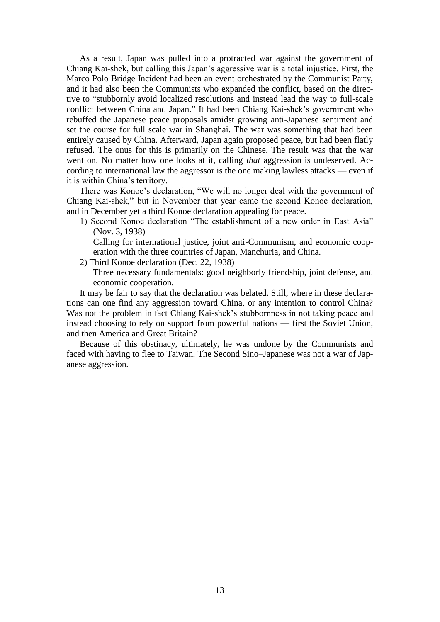As a result, Japan was pulled into a protracted war against the government of Chiang Kai-shek, but calling this Japan's aggressive war is a total injustice. First, the Marco Polo Bridge Incident had been an event orchestrated by the Communist Party, and it had also been the Communists who expanded the conflict, based on the directive to "stubbornly avoid localized resolutions and instead lead the way to full-scale conflict between China and Japan." It had been Chiang Kai-shek's government who rebuffed the Japanese peace proposals amidst growing anti-Japanese sentiment and set the course for full scale war in Shanghai. The war was something that had been entirely caused by China. Afterward, Japan again proposed peace, but had been flatly refused. The onus for this is primarily on the Chinese. The result was that the war went on. No matter how one looks at it, calling *that* aggression is undeserved. According to international law the aggressor is the one making lawless attacks — even if it is within China's territory.

There was Konoe's declaration, "We will no longer deal with the government of Chiang Kai-shek," but in November that year came the second Konoe declaration, and in December yet a third Konoe declaration appealing for peace.

1) Second Konoe declaration "The establishment of a new order in East Asia" (Nov. 3, 1938)

Calling for international justice, joint anti-Communism, and economic cooperation with the three countries of Japan, Manchuria, and China.

2) Third Konoe declaration (Dec. 22, 1938)

Three necessary fundamentals: good neighborly friendship, joint defense, and economic cooperation.

It may be fair to say that the declaration was belated. Still, where in these declarations can one find any aggression toward China, or any intention to control China? Was not the problem in fact Chiang Kai-shek's stubbornness in not taking peace and instead choosing to rely on support from powerful nations — first the Soviet Union, and then America and Great Britain?

Because of this obstinacy, ultimately, he was undone by the Communists and faced with having to flee to Taiwan. The Second Sino–Japanese was not a war of Japanese aggression.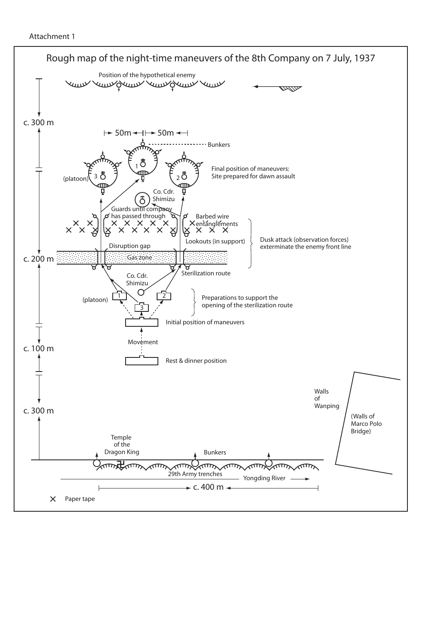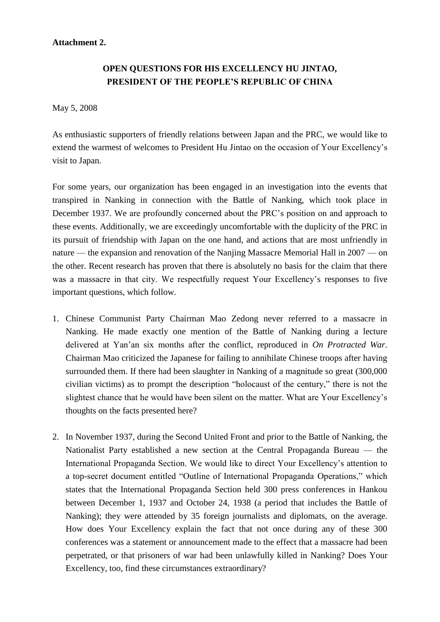## **Attachment 2.**

# **OPEN QUESTIONS FOR HIS EXCELLENCY HU JINTAO, PRESIDENT OF THE PEOPLE'S REPUBLIC OF CHINA**

# May 5, 2008

As enthusiastic supporters of friendly relations between Japan and the PRC, we would like to extend the warmest of welcomes to President Hu Jintao on the occasion of Your Excellency's visit to Japan.

For some years, our organization has been engaged in an investigation into the events that transpired in Nanking in connection with the Battle of Nanking, which took place in December 1937. We are profoundly concerned about the PRC's position on and approach to these events. Additionally, we are exceedingly uncomfortable with the duplicity of the PRC in its pursuit of friendship with Japan on the one hand, and actions that are most unfriendly in nature — the expansion and renovation of the Nanjing Massacre Memorial Hall in 2007 — on the other. Recent research has proven that there is absolutely no basis for the claim that there was a massacre in that city. We respectfully request Your Excellency's responses to five important questions, which follow.

- 1. Chinese Communist Party Chairman Mao Zedong never referred to a massacre in Nanking. He made exactly one mention of the Battle of Nanking during a lecture delivered at Yan'an six months after the conflict, reproduced in *On Protracted War*. Chairman Mao criticized the Japanese for failing to annihilate Chinese troops after having surrounded them. If there had been slaughter in Nanking of a magnitude so great (300,000 civilian victims) as to prompt the description "holocaust of the century," there is not the slightest chance that he would have been silent on the matter. What are Your Excellency's thoughts on the facts presented here?
- 2. In November 1937, during the Second United Front and prior to the Battle of Nanking, the Nationalist Party established a new section at the Central Propaganda Bureau — the International Propaganda Section. We would like to direct Your Excellency's attention to a top-secret document entitled "Outline of International Propaganda Operations," which states that the International Propaganda Section held 300 press conferences in Hankou between December 1, 1937 and October 24, 1938 (a period that includes the Battle of Nanking); they were attended by 35 foreign journalists and diplomats, on the average. How does Your Excellency explain the fact that not once during any of these 300 conferences was a statement or announcement made to the effect that a massacre had been perpetrated, or that prisoners of war had been unlawfully killed in Nanking? Does Your Excellency, too, find these circumstances extraordinary?